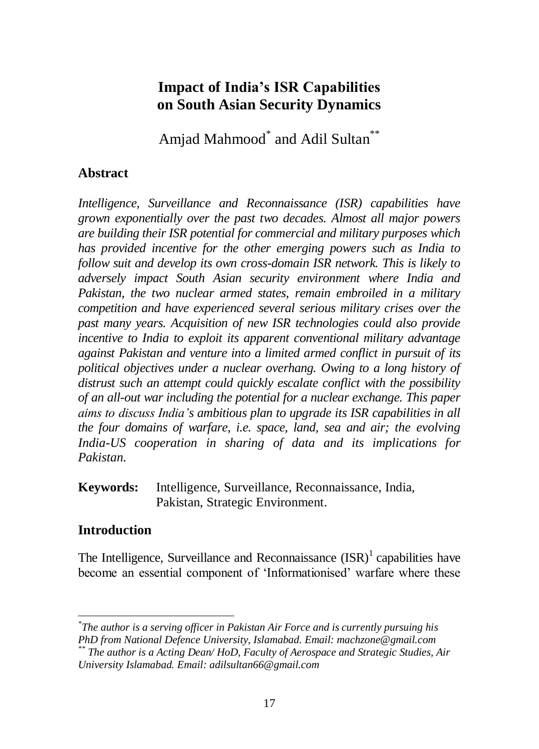# **Impact of India's ISR Capabilities on South Asian Security Dynamics**

Amjad Mahmood $^*$  and Adil Sultan $^{**}$ 

### **Abstract**

*Intelligence, Surveillance and Reconnaissance (ISR) capabilities have grown exponentially over the past two decades. Almost all major powers are building their ISR potential for commercial and military purposes which has provided incentive for the other emerging powers such as India to follow suit and develop its own cross-domain ISR network. This is likely to adversely impact South Asian security environment where India and Pakistan, the two nuclear armed states, remain embroiled in a military competition and have experienced several serious military crises over the past many years. Acquisition of new ISR technologies could also provide incentive to India to exploit its apparent conventional military advantage against Pakistan and venture into a limited armed conflict in pursuit of its political objectives under a nuclear overhang. Owing to a long history of distrust such an attempt could quickly escalate conflict with the possibility of an all-out war including the potential for a nuclear exchange. This paper aims to discuss India's ambitious plan to upgrade its ISR capabilities in all the four domains of warfare, i.e. space, land, sea and air; the evolving India-US cooperation in sharing of data and its implications for Pakistan.* 

**Keywords:** Intelligence, Surveillance, Reconnaissance, India, Pakistan, Strategic Environment.

### **Introduction**

The Intelligence, Surveillance and Reconnaissance  $(ISR)^1$  capabilities have become an essential component of "Informationised" warfare where these

*<sup>\*</sup> The author is a serving officer in Pakistan Air Force and is currently pursuing his* 

*PhD from National Defence University, Islamabad. Email: machzone@gmail.com*

*<sup>\*\*</sup> The author is a Acting Dean/ HoD, Faculty of Aerospace and Strategic Studies, Air University Islamabad. Email: adilsultan66@gmail.com*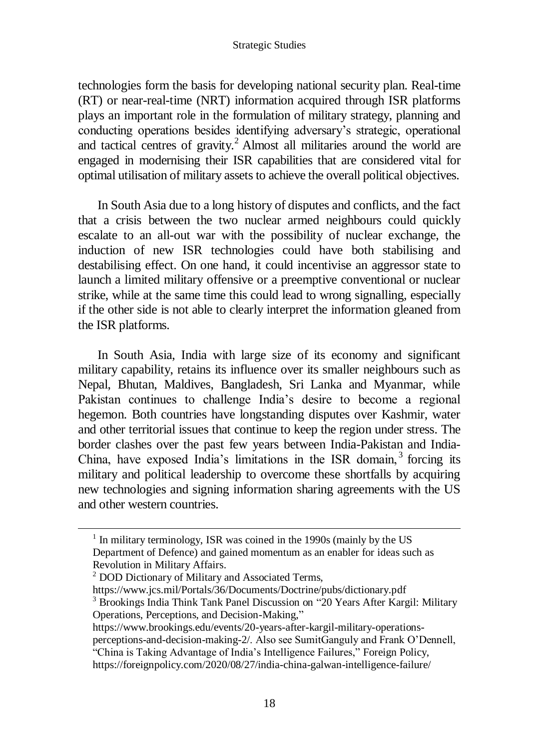technologies form the basis for developing national security plan. Real-time (RT) or near-real-time (NRT) information acquired through ISR platforms plays an important role in the formulation of military strategy, planning and conducting operations besides identifying adversary"s strategic, operational and tactical centres of gravity.<sup>2</sup> Almost all militaries around the world are engaged in modernising their ISR capabilities that are considered vital for optimal utilisation of military assets to achieve the overall political objectives.

In South Asia due to a long history of disputes and conflicts, and the fact that a crisis between the two nuclear armed neighbours could quickly escalate to an all-out war with the possibility of nuclear exchange, the induction of new ISR technologies could have both stabilising and destabilising effect. On one hand, it could incentivise an aggressor state to launch a limited military offensive or a preemptive conventional or nuclear strike, while at the same time this could lead to wrong signalling, especially if the other side is not able to clearly interpret the information gleaned from the ISR platforms.

In South Asia, India with large size of its economy and significant military capability, retains its influence over its smaller neighbours such as Nepal, Bhutan, Maldives, Bangladesh, Sri Lanka and Myanmar, while Pakistan continues to challenge India"s desire to become a regional hegemon. Both countries have longstanding disputes over Kashmir, water and other territorial issues that continue to keep the region under stress. The border clashes over the past few years between India-Pakistan and India-China, have exposed India's limitations in the ISR domain,<sup>3</sup> forcing its military and political leadership to overcome these shortfalls by acquiring new technologies and signing information sharing agreements with the US and other western countries.

 $\overline{a}$ 

[perceptions-and-decision-making-2/.](https://www.brookings.edu/events/20-years-after-kargil-military-operations-perceptions-and-decision-making-2/) Also see SumitGanguly and Frank O"Dennell,

<sup>&</sup>lt;sup>1</sup> In military terminology, ISR was coined in the 1990s (mainly by the US Department of Defence) and gained momentum as an enabler for ideas such as Revolution in Military Affairs.

 $2$  DOD Dictionary of Military and Associated Terms,

https://www.jcs.mil/Portals/36/Documents/Doctrine/pubs/dictionary.pdf

<sup>3</sup> Brookings India Think Tank Panel Discussion on "20 Years After Kargil: Military Operations, Perceptions, and Decision-Making,"

[https://www.brookings.edu/events/20-years-after-kargil-military-operations-](https://www.brookings.edu/events/20-years-after-kargil-military-operations-perceptions-and-decision-making-2/)

<sup>&</sup>quot;China is Taking Advantage of India"s Intelligence Failures," Foreign Policy, <https://foreignpolicy.com/2020/08/27/india-china-galwan-intelligence-failure/>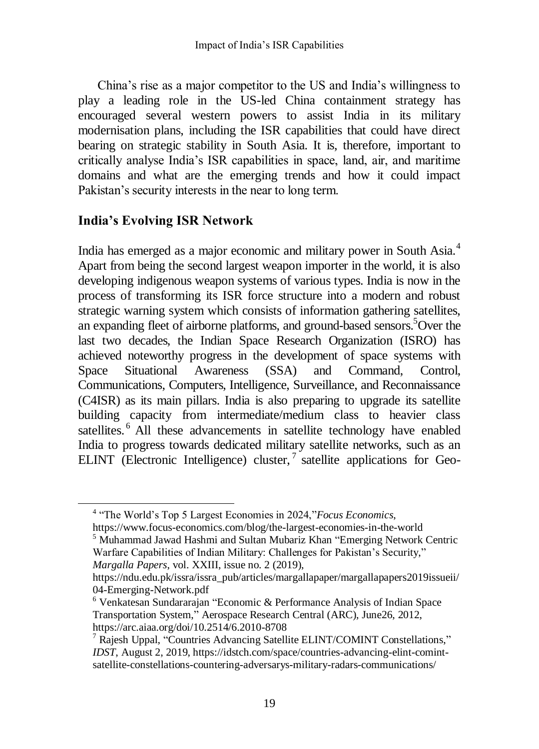China"s rise as a major competitor to the US and India"s willingness to play a leading role in the US-led China containment strategy has encouraged several western powers to assist India in its military modernisation plans, including the ISR capabilities that could have direct bearing on strategic stability in South Asia. It is, therefore, important to critically analyse India"s ISR capabilities in space, land, air, and maritime domains and what are the emerging trends and how it could impact Pakistan's security interests in the near to long term.

## **India's Evolving ISR Network**

 $\overline{a}$ 

India has emerged as a major economic and military power in South Asia.<sup>4</sup> Apart from being the second largest weapon importer in the world, it is also developing indigenous weapon systems of various types. India is now in the process of transforming its ISR force structure into a modern and robust strategic warning system which consists of information gathering satellites, an expanding fleet of airborne platforms, and ground-based sensors.<sup>5</sup>Over the last two decades, the Indian Space Research Organization (ISRO) has achieved noteworthy progress in the development of space systems with Space Situational Awareness (SSA) and Command, Control, Communications, Computers, Intelligence, Surveillance, and Reconnaissance (C4ISR) as its main pillars. India is also preparing to upgrade its satellite building capacity from intermediate/medium class to heavier class satellites.<sup>6</sup> All these advancements in satellite technology have enabled India to progress towards dedicated military satellite networks, such as an ELINT (Electronic Intelligence) cluster,<sup>7</sup> satellite applications for Geo-

<sup>5</sup> Muhammad Jawad Hashmi and Sultan Mubariz Khan "Emerging Network Centric Warfare Capabilities of Indian Military: Challenges for Pakistan's Security," *Margalla Papers*, vol. XXIII, issue no. 2 (2019),

<sup>4</sup> "The World"s Top 5 Largest Economies in 2024,"*Focus Economics*, <https://www.focus-economics.com/blog/the-largest-economies-in-the-world>

https://ndu.edu.pk/issra/issra\_pub/articles/margallapaper/margallapapers2019issueii/ 04-Emerging-Network.pdf

<sup>6</sup> Venkatesan Sundararajan "Economic & Performance Analysis of Indian Space Transportation System," Aerospace Research Central (ARC), June26, 2012, <https://arc.aiaa.org/doi/10.2514/6.2010-8708>

<sup>7</sup> Rajesh Uppal, "Countries Advancing Satellite ELINT/COMINT Constellations," *IDST*, August 2, 2019, [https://idstch.com/space/countries-advancing-elint-comint](https://idstch.com/space/countries-advancing-elint-comint-satellite-constellations-countering-adversarys-military-radars-communications/)[satellite-constellations-countering-adversarys-military-radars-communications/](https://idstch.com/space/countries-advancing-elint-comint-satellite-constellations-countering-adversarys-military-radars-communications/)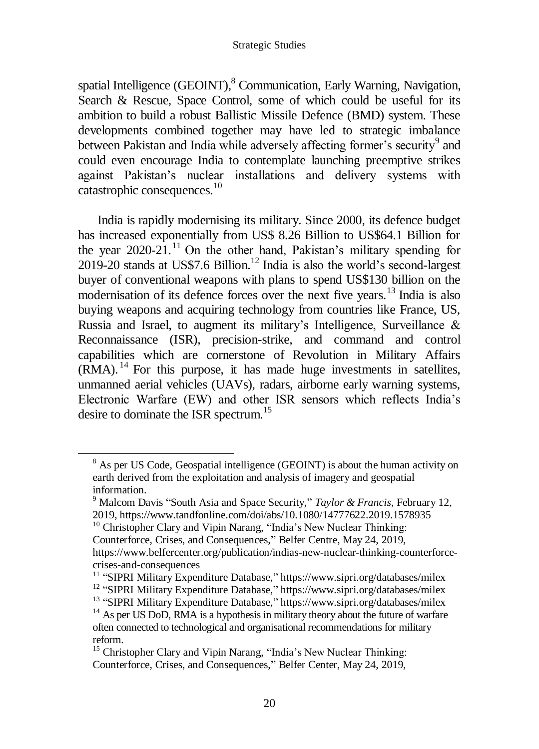spatial Intelligence (GEOINT),<sup>8</sup> Communication, Early Warning, Navigation, Search & Rescue, Space Control, some of which could be useful for its ambition to build a robust Ballistic Missile Defence (BMD) system. These developments combined together may have led to strategic imbalance between Pakistan and India while adversely affecting former's security<sup>9</sup> and could even encourage India to contemplate launching preemptive strikes against Pakistan"s nuclear installations and delivery systems with catastrophic consequences.<sup>10</sup>

India is rapidly modernising its military. Since 2000, its defence budget has increased exponentially from US\$ 8.26 Billion to US\$64.1 Billion for the year  $2020-21$ .<sup>11</sup> On the other hand, Pakistan's military spending for  $2019-20$  stands at US\$7.6 Billion.<sup>12</sup> India is also the world's second-largest buyer of conventional weapons with plans to spend US\$130 billion on the modernisation of its defence forces over the next five years.<sup>13</sup> India is also buying weapons and acquiring technology from countries like France, US, Russia and Israel, to augment its military"s Intelligence, Surveillance & Reconnaissance (ISR), precision-strike, and command and control capabilities which are cornerstone of Revolution in Military Affairs (RMA). <sup>14</sup> For this purpose, it has made huge investments in satellites, unmanned aerial vehicles (UAVs), radars, airborne early warning systems, Electronic Warfare (EW) and other ISR sensors which reflects India"s desire to dominate the ISR spectrum.<sup>15</sup>

 $\overline{a}$ 

<sup>&</sup>lt;sup>8</sup> As per US Code, Geospatial intelligence (GEOINT) is about the human activity on earth derived from the exploitation and analysis of imagery and geospatial information.

<sup>9</sup> Malcom Davis "South Asia and Space Security," *Taylor & Francis*, February 12, 2019, https://www.tandfonline.com/doi/abs/10.1080/14777622.2019.1578935

<sup>&</sup>lt;sup>10</sup> Christopher Clary and Vipin Narang, "India's New Nuclear Thinking: Counterforce, Crises, and Consequences," Belfer Centre*,* May 24, 2019, [https://www.belfercenter.org/publication/indias-new-nuclear-thinking-counterforce](https://www.belfercenter.org/publication/indias-new-nuclear-thinking-counterforce-crises-and-consequences)[crises-and-consequences](https://www.belfercenter.org/publication/indias-new-nuclear-thinking-counterforce-crises-and-consequences)

<sup>&</sup>lt;sup>11</sup> "SIPRI Military Expenditure Database," <https://www.sipri.org/databases/milex> <sup>12</sup> "SIPRI Military Expenditure Database," <https://www.sipri.org/databases/milex>

<sup>&</sup>lt;sup>13</sup> "SIPRI Military Expenditure Database," <https://www.sipri.org/databases/milex>

 $14$  As per US DoD, RMA is a hypothesis in military theory about the future of warfare often connected to technological and organisational recommendations for military reform.

<sup>&</sup>lt;sup>15</sup> Christopher Clary and Vipin Narang, "India's New Nuclear Thinking: Counterforce, Crises, and Consequences," Belfer Center, May 24, 2019,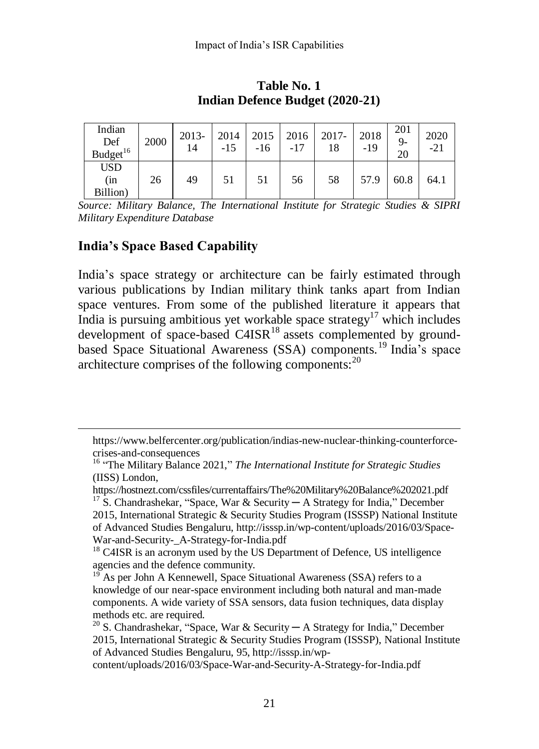| Indian<br>Def<br>Budget <sup>16</sup> | 2000 | 2013-<br>14 | 2014<br>$-15$ | 2015<br>$-16$ | 2016 | 2017-<br>18 | 2018<br>-19 | 201<br>$9-$<br>20 | 2020<br>$-21$ |
|---------------------------------------|------|-------------|---------------|---------------|------|-------------|-------------|-------------------|---------------|
| <b>USD</b><br>(in<br>Billion)         | 26   | 49          | 51            | 51            | 56   | 58          | 57.9        | 60.8              | 64.1          |

**Table No. 1 Indian Defence Budget (2020-21)**

*Source: Military Balance, The International Institute for Strategic Studies & SIPRI Military Expenditure Database*

## **India's Space Based Capability**

 $\overline{a}$ 

India"s space strategy or architecture can be fairly estimated through various publications by Indian military think tanks apart from Indian space ventures. From some of the published literature it appears that India is pursuing ambitious yet workable space strategy<sup>17</sup> which includes development of space-based  $C4ISR<sup>18</sup>$  assets complemented by groundbased Space Situational Awareness (SSA) components.<sup>19</sup> India's space architecture comprises of the following components: $^{20}$ 

[https://www.belfercenter.org/publication/indias-new-nuclear-thinking-counterforce](https://www.belfercenter.org/publication/indias-new-nuclear-thinking-counterforce-crises-and-consequences)[crises-and-consequences](https://www.belfercenter.org/publication/indias-new-nuclear-thinking-counterforce-crises-and-consequences)

<sup>&</sup>lt;sup>16</sup> "The Military Balance 2021," *The International Institute for Strategic Studies* (IISS) London,

https://hostnezt.com/cssfiles/currentaffairs/The%20Military%20Balance%202021.pdf <sup>17</sup> S. Chandrashekar, "Space, War & Security — A Strategy for India," December

<sup>2015,</sup> International Strategic & Security Studies Program (ISSSP) National Institute of Advanced Studies Bengaluru, http://isssp.in/wp-content/uploads/2016/03/Space-War-and-Security-\_A-Strategy-for-India.pdf

<sup>&</sup>lt;sup>18</sup> C4ISR is an acronym used by the US Department of Defence, US intelligence agencies and the defence community.

<sup>&</sup>lt;sup>19</sup> As per John A Kennewell, Space Situational Awareness (SSA) refers to a knowledge of our near-space environment including both natural and man-made components. A wide variety of SSA sensors, data fusion techniques, data display methods etc. are required.

<sup>&</sup>lt;sup>20</sup> S. Chandrashekar, "Space, War & Security — A Strategy for India," December 2015, International Strategic & Security Studies Program (ISSSP), National Institute of Advanced Studies Bengaluru, 95, [http://isssp.in/wp-](http://isssp.in/wp-content/uploads/2016/03/Space-War-and-Security-_A-Strategy-for-India.pdf)

[content/uploads/2016/03/Space-War-and-Security-A-Strategy-for-India.pdf](http://isssp.in/wp-content/uploads/2016/03/Space-War-and-Security-_A-Strategy-for-India.pdf)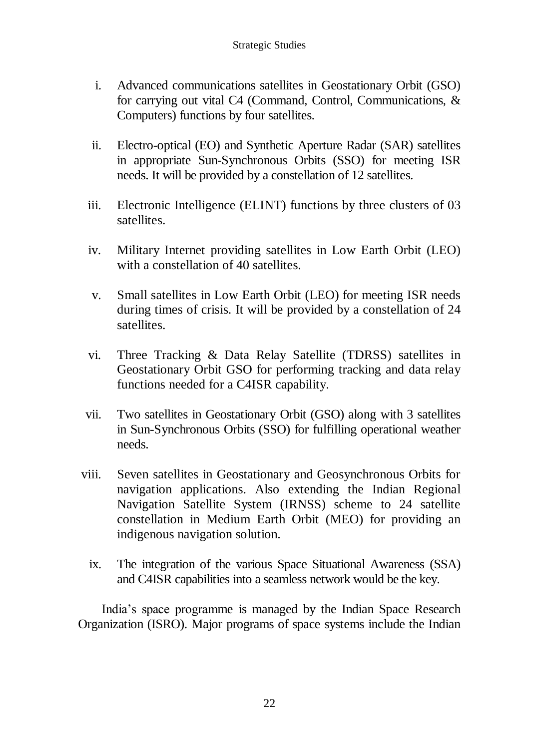- i. Advanced communications satellites in Geostationary Orbit (GSO) for carrying out vital C4 (Command, Control, Communications, & Computers) functions by four satellites.
- ii. Electro-optical (EO) and Synthetic Aperture Radar (SAR) satellites in appropriate Sun-Synchronous Orbits (SSO) for meeting ISR needs. It will be provided by a constellation of 12 satellites.
- iii. Electronic Intelligence (ELINT) functions by three clusters of 03 satellites.
- iv. Military Internet providing satellites in Low Earth Orbit (LEO) with a constellation of 40 satellites.
- v. Small satellites in Low Earth Orbit (LEO) for meeting ISR needs during times of crisis. It will be provided by a constellation of 24 satellites.
- vi. Three Tracking & Data Relay Satellite (TDRSS) satellites in Geostationary Orbit GSO for performing tracking and data relay functions needed for a C4ISR capability.
- vii. Two satellites in Geostationary Orbit (GSO) along with 3 satellites in Sun-Synchronous Orbits (SSO) for fulfilling operational weather needs.
- viii. Seven satellites in Geostationary and Geosynchronous Orbits for navigation applications. Also extending the Indian Regional Navigation Satellite System (IRNSS) scheme to 24 satellite constellation in Medium Earth Orbit (MEO) for providing an indigenous navigation solution.
	- ix. The integration of the various Space Situational Awareness (SSA) and C4ISR capabilities into a seamless network would be the key.

India"s space programme is managed by the Indian Space Research Organization (ISRO). Major programs of space systems include the Indian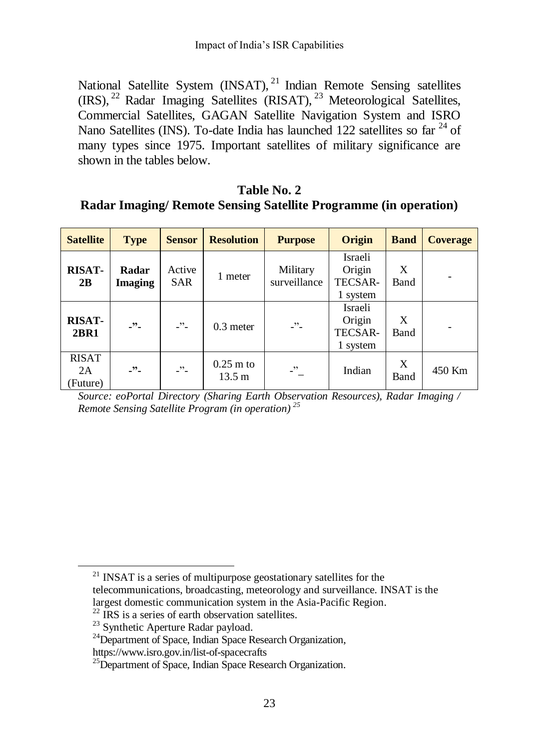National Satellite System  $(INSAT)$ ,  $^{21}$  Indian Remote Sensing satellites (IRS), <sup>22</sup> Radar Imaging Satellites (RISAT), <sup>23</sup> Meteorological Satellites, Commercial Satellites, GAGAN Satellite Navigation System and ISRO Nano Satellites (INS). To-date India has launched 122 satellites so far  $^{24}$  of many types since 1975. Important satellites of military significance are shown in the tables below.

#### **Table No. 2 Radar Imaging/ Remote Sensing Satellite Programme (in operation)**

| <b>Satellite</b>              | <b>Type</b>             | <b>Sensor</b>        | <b>Resolution</b>               | <b>Purpose</b>           | Origin                                   | <b>Band</b> | <b>Coverage</b> |
|-------------------------------|-------------------------|----------------------|---------------------------------|--------------------------|------------------------------------------|-------------|-----------------|
| <b>RISAT-</b><br>2B           | Radar<br><b>Imaging</b> | Active<br><b>SAR</b> | 1 meter                         | Military<br>surveillance | Israeli<br>Origin<br>TECSAR-<br>1 system | X<br>Band   |                 |
| <b>RISAT-</b><br><b>2BR1</b>  | $\cdot$ ".              | -"-                  | $0.3$ meter                     | $\cdot$ "                | Israeli<br>Origin<br>TECSAR-<br>1 system | X<br>Band   |                 |
| <b>RISAT</b><br>2A<br>Future) | $\cdot$ "               | $\cdot$ ".           | $0.25$ m to<br>$13.5 \text{ m}$ | $\cdot$                  | Indian                                   | X<br>Band   | 450 Km          |

*Source: [eoPortal](https://eoportal.org/web/eoportal/satellite-missions/a) Directory (Sharing Earth Observation Resources), Radar Imaging / Remote Sensing Satellite Program (in operation) <sup>25</sup>*

 $\overline{a}$ 

 $21$  INSAT is a series of multipurpose geostationary satellites for the telecommunications, broadcasting, meteorology and surveillance. INSAT is the largest domestic communication system in the Asia-Pacific Region.

 $^{22}$  IRS is a series of earth observation satellites.

<sup>&</sup>lt;sup>23</sup> Synthetic Aperture Radar payload.

<sup>&</sup>lt;sup>24</sup>Department of Space, Indian Space Research Organization,

https://www.isro.gov.in/list-of-spacecrafts

<sup>&</sup>lt;sup>25</sup>Department of Space, Indian Space Research Organization.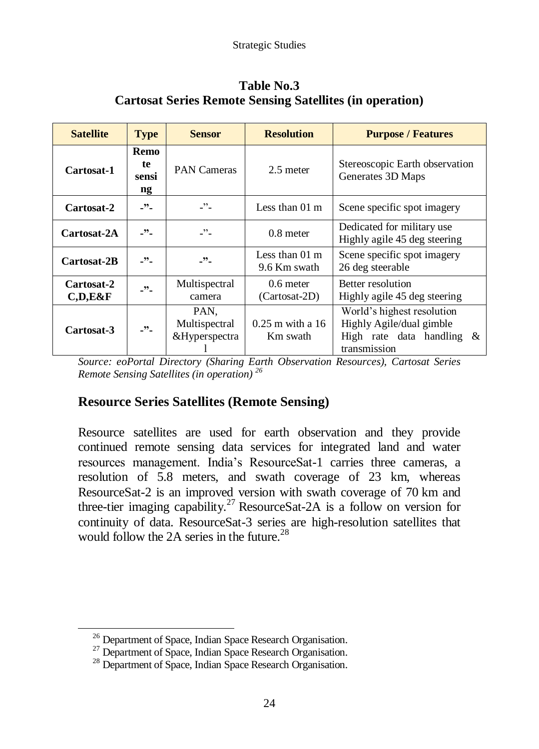| <b>Satellite</b>           | <b>Type</b>               | <b>Sensor</b>                          | <b>Resolution</b>                        | <b>Purpose / Features</b>                                                                              |  |  |
|----------------------------|---------------------------|----------------------------------------|------------------------------------------|--------------------------------------------------------------------------------------------------------|--|--|
| Cartosat-1                 | Remo<br>te<br>sensi<br>ng | <b>PAN Cameras</b><br>$2.5$ meter      |                                          | Stereoscopic Earth observation<br>Generates 3D Maps                                                    |  |  |
| Cartosat-2                 | $-22-$                    | $-$                                    | Less than $01 \text{ m}$                 | Scene specific spot imagery                                                                            |  |  |
| Cartosat-2A                | $-22-$                    |                                        | $0.8$ meter                              | Dedicated for military use<br>Highly agile 45 deg steering                                             |  |  |
| Cartosat-2B                | $\cdot$ "                 | $\cdot$ ".                             | Less than $01 \text{ m}$<br>9.6 Km swath | Scene specific spot imagery<br>26 deg steerable                                                        |  |  |
| Cartosat-2<br>$C, D, E\&F$ | $\cdot$ ".                | Multispectral<br>camera                | $0.6$ meter<br>(Cartosat-2D)             | Better resolution<br>Highly agile 45 deg steering                                                      |  |  |
| Cartosat-3                 | $-22-$                    | PAN,<br>Multispectral<br>&Hyperspectra | $0.25$ m with a 16<br>Km swath           | World's highest resolution<br>Highly Agile/dual gimble<br>High rate data handling $\&$<br>transmission |  |  |

### **Table No.3 Cartosat Series Remote Sensing Satellites (in operation)**

*Source: [eoPortal](https://eoportal.org/web/eoportal/satellite-missions/a) Directory (Sharing Earth Observation Resources), Cartosat Series Remote Sensing Satellites (in operation) <sup>26</sup>*

## **Resource Series Satellites (Remote Sensing)**

Resource satellites are used for earth observation and they provide continued remote sensing data services for integrated land and water resources management. India"s ResourceSat-1 carries three cameras, a resolution of 5.8 meters, and swath coverage of 23 km, whereas ResourceSat-2 is an improved version with swath coverage of 70 km and three-tier imaging capability.<sup>27</sup> ResourceSat-2A is a follow on version for continuity of data. ResourceSat-3 series are high-resolution satellites that would follow the 2A series in the future.<sup>28</sup>

<sup>&</sup>lt;sup>26</sup> Department of Space, Indian Space Research Organisation.

<sup>&</sup>lt;sup>27</sup> Department of Space, Indian Space Research Organisation.

<sup>&</sup>lt;sup>28</sup> Department of Space, Indian Space Research Organisation.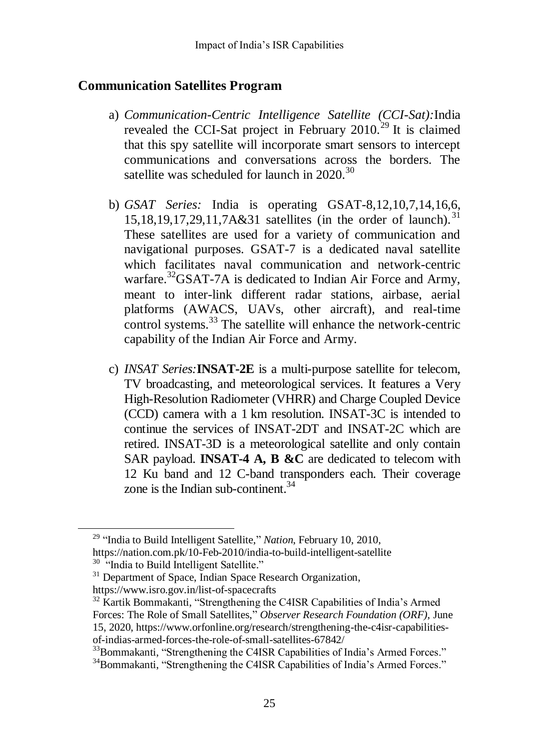#### **Communication Satellites Program**

- a) *Communication-Centric Intelligence Satellite (CCI-Sat):*India revealed the CCI-Sat project in February  $2010^{29}$  It is claimed that this spy satellite will incorporate smart sensors to intercept communications and conversations across the borders. The satellite was scheduled for launch in  $2020$ .<sup>30</sup>
- b) *GSAT Series:* India is operating GSAT-8,12,10,7,14,16,6, 15,18,19,17,29,11,7A&31 satellites (in the order of launch).<sup>31</sup> These satellites are used for a variety of communication and navigational purposes. GSAT-7 is a dedicated naval satellite which facilitates naval communication and network-centric warfare.<sup>32</sup>GSAT-7A is dedicated to Indian Air Force and Army, meant to inter-link different radar stations, airbase, aerial platforms (AWACS, UAVs, other aircraft), and real-time control systems.<sup>33</sup> The satellite will enhance the network-centric capability of the Indian Air Force and Army.
- c) *INSAT Series:***INSAT-2E** is a multi-purpose satellite for telecom, TV broadcasting, and meteorological services. It features a Very High-Resolution Radiometer (VHRR) and Charge Coupled Device (CCD) camera with a 1 km resolution. INSAT-3C is intended to continue the services of INSAT-2DT and INSAT-2C which are retired. INSAT-3D is a meteorological satellite and only contain SAR payload. **INSAT-4 A, B &C** are dedicated to telecom with 12 Ku band and 12 C-band transponders each. Their coverage zone is the Indian sub-continent.  $34$

 $\overline{a}$ 

https://www.isro.gov.in/list-of-spacecrafts

<sup>29</sup> "India to Build Intelligent Satellite," *Nation*, February 10, 2010, https://nation.com.pk/10-Feb-2010/india-to-build-intelligent-satellite

<sup>&</sup>lt;sup>30</sup> "India to Build Intelligent Satellite."

<sup>&</sup>lt;sup>31</sup> Department of Space, Indian Space Research Organization,

<sup>&</sup>lt;sup>32</sup> Kartik Bommakanti, "Strengthening the C4ISR Capabilities of India's Armed Forces: The Role of Small Satellites," *Observer Research Foundation (ORF)*, June 15, 2020, https://www.orfonline.org/research/strengthening-the-c4isr-capabilitiesof-indias-armed-forces-the-role-of-small-satellites-67842/

<sup>&</sup>lt;sup>33</sup>Bommakanti, "Strengthening the C4ISR Capabilities of India's Armed Forces."

<sup>&</sup>lt;sup>34</sup>Bommakanti, "Strengthening the C4ISR Capabilities of India's Armed Forces."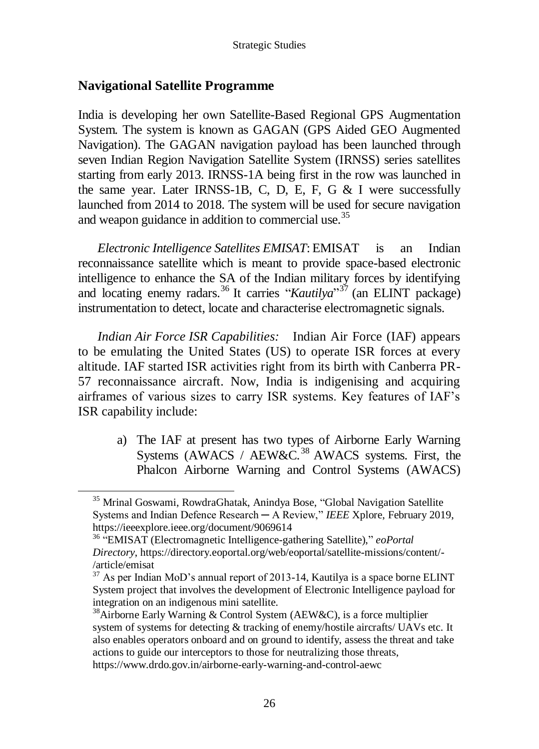### **Navigational Satellite Programme**

 $\overline{a}$ 

India is developing her own Satellite-Based Regional GPS Augmentation System. The system is known as GAGAN (GPS Aided GEO Augmented Navigation). The GAGAN navigation payload has been launched through seven Indian Region Navigation Satellite System (IRNSS) series satellites starting from early 2013. IRNSS-1A being first in the row was launched in the same year. Later IRNSS-1B, C, D, E, F, G  $&$  I were successfully launched from 2014 to 2018. The system will be used for secure navigation and weapon guidance in addition to commercial use.<sup>35</sup>

*Electronic Intelligence Satellites EMISAT*: EMISAT is an Indian reconnaissance satellite which is meant to provide space-based electronic intelligence to enhance the SA of the Indian military forces by identifying and locating enemy radars.<sup>36</sup> It carries "*Kautilya*"<sup>37</sup> (an ELINT package) instrumentation to detect, locate and characterise electromagnetic signals.

*Indian Air Force ISR Capabilities:* Indian Air Force (IAF) appears to be emulating the United States (US) to operate ISR forces at every altitude. IAF started ISR activities right from its birth with Canberra PR-57 reconnaissance aircraft. Now, India is indigenising and acquiring airframes of various sizes to carry ISR systems. Key features of IAF"s ISR capability include:

a) The IAF at present has two types of Airborne Early Warning Systems (AWACS / AEW&C.<sup>38</sup> AWACS systems. First, the Phalcon Airborne Warning and Control Systems (AWACS)

<sup>&</sup>lt;sup>35</sup> Mrinal Goswami, RowdraGhatak, Anindya Bose, "Global Navigation Satellite Systems and Indian Defence Research ─ A Review," *IEEE* Xplore, February 2019, https://ieeexplore.ieee.org/document/9069614

<sup>36</sup> "EMISAT (Electromagnetic Intelligence-gathering Satellite)," *eoPortal Directory*, https://directory.eoportal.org/web/eoportal/satellite-missions/content/- /article/emisat

 $37$  As per Indian MoD's annual report of 2013-14, Kautilya is a space borne ELINT System project that involves the development of Electronic Intelligence payload for integration on an indigenous mini satellite.

<sup>&</sup>lt;sup>38</sup>Airborne Early Warning & Control System (AEW&C), is a force multiplier system of systems for detecting & tracking of enemy/hostile aircrafts/ UAVs etc. It also enables operators onboard and on ground to identify, assess the threat and take actions to guide our interceptors to those for neutralizing those threats, https://www.drdo.gov.in/airborne-early-warning-and-control-aewc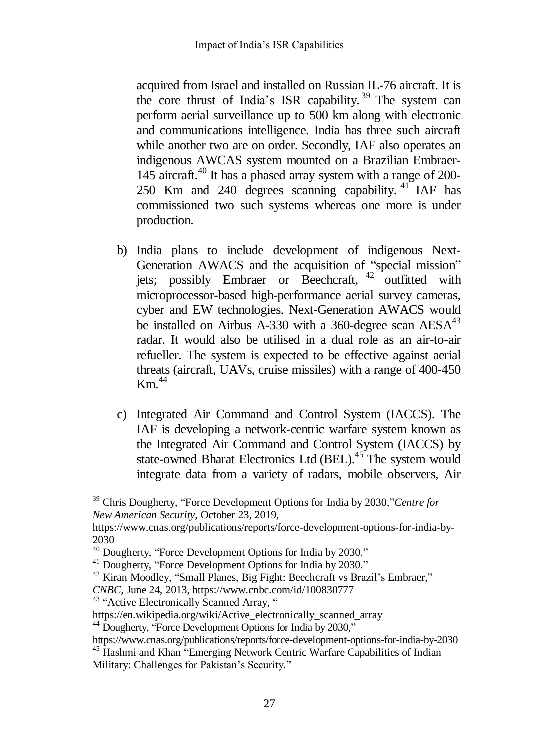acquired from Israel and installed on Russian IL-76 aircraft. It is the core thrust of India's ISR capability.<sup>39</sup> The system can perform aerial surveillance up to 500 km along with electronic and communications intelligence. India has three such aircraft while another two are on order. Secondly, IAF also operates an indigenous AWCAS system mounted on a Brazilian Embraer-145 aircraft.<sup>40</sup> It has a phased array system with a range of 200-250 Km and 240 degrees scanning capability. <sup>41</sup> IAF has commissioned two such systems whereas one more is under production.

- b) India plans to include development of indigenous Next-Generation AWACS and the acquisition of "special mission" jets; possibly Embraer or Beechcraft, <sup>42</sup> outfitted with microprocessor-based high-performance aerial survey cameras, cyber and EW technologies. Next-Generation AWACS would be installed on Airbus A-330 with a 360-degree scan  $AESA<sup>43</sup>$ radar. It would also be utilised in a dual role as an air-to-air refueller. The system is expected to be effective against aerial threats (aircraft, UAVs, cruise missiles) with a range of 400-450  $Km$ <sup>44</sup>
- c) Integrated Air Command and Control System (IACCS). The IAF is developing a network-centric warfare system known as the Integrated Air Command and Control System (IACCS) by state-owned Bharat Electronics Ltd (BEL).<sup>45</sup> The system would integrate data from a variety of radars, mobile observers, Air

 $\overline{a}$ 

<sup>39</sup> Chris Dougherty, "Force Development Options for India by 2030,"*Centre for New American Security,* October 23, 2019,

https://www.cnas.org/publications/reports/force-development-options-for-india-by-2030

<sup>40</sup> Dougherty, "Force Development Options for India by 2030."

<sup>&</sup>lt;sup>41</sup> Dougherty, "Force Development Options for India by 2030."

 $42$  Kiran Moodley, "Small Planes, Big Fight: Beechcraft vs Brazil's Embraer,"

*CNBC,* June 24, 2013, https://www.cnbc.com/id/100830777

<sup>&</sup>lt;sup>43</sup> "Active Electronically Scanned Array, "

[https://en.wikipedia.org/wiki/Active\\_electronically\\_scanned\\_array](https://en.wikipedia.org/wiki/Active_electronically_scanned_array)

<sup>&</sup>lt;sup>44</sup> Dougherty, "Force Development Options for India by 2030,"

https://www.cnas.org/publications/reports/force-development-options-for-india-by-2030 <sup>45</sup> Hashmi and Khan "Emerging Network Centric Warfare Capabilities of Indian

Military: Challenges for Pakistan's Security."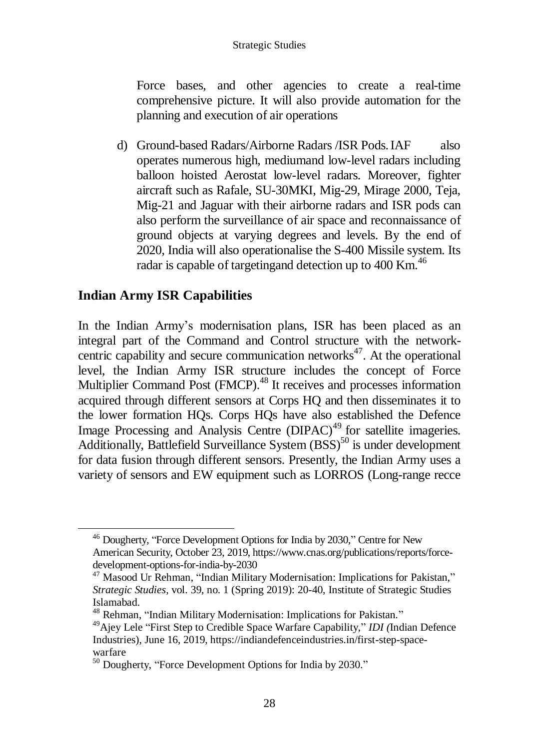Force bases, and other agencies to create a real-time comprehensive picture. It will also provide automation for the planning and execution of air operations

d) Ground-based Radars/Airborne Radars /ISR Pods.IAF also operates numerous high, mediumand low-level radars including balloon hoisted Aerostat low-level radars. Moreover, fighter aircraft such as Rafale, SU-30MKI, Mig-29, Mirage 2000, Teja, Mig-21 and Jaguar with their airborne radars and ISR pods can also perform the surveillance of air space and reconnaissance of ground objects at varying degrees and levels. By the end of 2020, India will also operationalise the S-400 Missile system. Its radar is capable of targetingand detection up to 400 Km.<sup>46</sup>

## **Indian Army ISR Capabilities**

 $\overline{a}$ 

In the Indian Army"s modernisation plans, ISR has been placed as an integral part of the Command and Control structure with the networkcentric capability and secure communication networks $47$ . At the operational level, the Indian Army ISR structure includes the concept of Force Multiplier Command Post (FMCP).<sup>48</sup> It receives and processes information acquired through different sensors at Corps HQ and then disseminates it to the lower formation HQs. Corps HQs have also established the Defence Image Processing and Analysis Centre (DIPAC)<sup>49</sup> for satellite imageries. Additionally, Battlefield Surveillance System  $(BSS)^{50}$  is under development for data fusion through different sensors. Presently, the Indian Army uses a variety of sensors and EW equipment such as LORROS (Long-range recce

<sup>46</sup> Dougherty, "Force Development Options for India by 2030," Centre for New American Security, October 23, 2019, https://www.cnas.org/publications/reports/forcedevelopment-options-for-india-by-2030

<sup>&</sup>lt;sup>47</sup> Masood Ur Rehman, "Indian Military Modernisation: Implications for Pakistan," *Strategic Studies,* vol. 39, no. 1 (Spring 2019): 20-40, Institute of Strategic Studies Islamabad.

<sup>48</sup> Rehman, "Indian Military Modernisation: Implications for Pakistan."

<sup>49</sup>Ajey Lele "First Step to Credible Space Warfare Capability," *IDI (*Indian Defence Industries), June 16, 2019, https://indiandefenceindustries.in/first-step-spacewarfare

<sup>50</sup> Dougherty, "Force Development Options for India by 2030."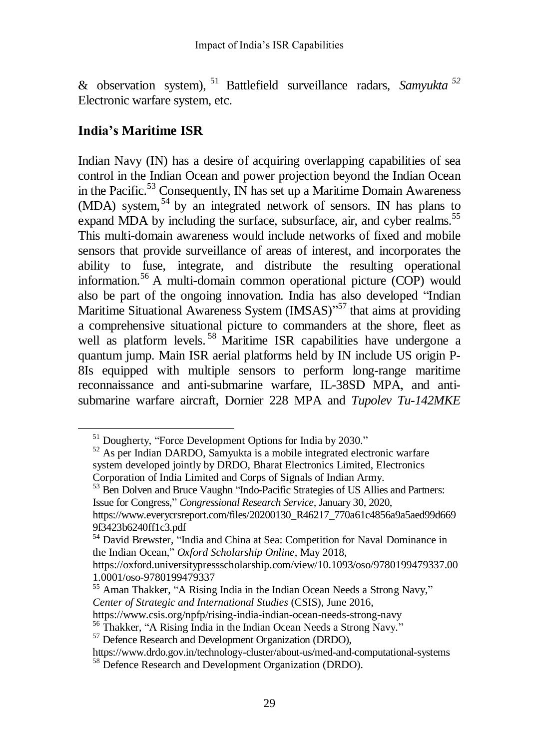& observation system), <sup>51</sup> Battlefield surveillance radars, *Samyukta <sup>52</sup>* Electronic warfare system, etc.

## **India's Maritime ISR**

 $\ddot{\phantom{a}}$ 

Indian Navy (IN) has a desire of acquiring overlapping capabilities of sea control in the Indian Ocean and power projection beyond the Indian Ocean in the Pacific.<sup>53</sup> Consequently, IN has set up a Maritime Domain Awareness  $(MDA)$  system,  $54$  by an integrated network of sensors. IN has plans to expand MDA by including the surface, subsurface, air, and cyber realms.<sup>55</sup> This multi-domain awareness would include networks of fixed and mobile sensors that provide surveillance of areas of interest, and incorporates the ability to fuse, integrate, and distribute the resulting operational information.<sup>56</sup> A multi-domain common operational picture (COP) would also be part of the ongoing innovation. India has also developed "Indian Maritime Situational Awareness System (IMSAS)"<sup>57</sup> that aims at providing a comprehensive situational picture to commanders at the shore, fleet as well as platform levels.<sup>58</sup> Maritime ISR capabilities have undergone a quantum jump. Main ISR aerial platforms held by IN include US origin P-8Is equipped with multiple sensors to perform long-range maritime reconnaissance and anti-submarine warfare, IL-38SD MPA, and antisubmarine warfare aircraft, Dornier 228 MPA and *Tupolev Tu-142MKE*

<sup>&</sup>lt;sup>51</sup> Dougherty, "Force Development Options for India by 2030."

<sup>&</sup>lt;sup>52</sup> As per Indian DARDO, Samyukta is a mobile integrated electronic warfare system developed jointly by DRDO, Bharat Electronics Limited, Electronics Corporation of India Limited and Corps of Signals of Indian Army.

<sup>&</sup>lt;sup>53</sup> Ben Dolven and Bruce Vaughn "Indo-Pacific Strategies of US Allies and Partners: Issue for Congress," *Congressional Research Service,* January 30, 2020, https://www.everycrsreport.com/files/20200130\_R46217\_770a61c4856a9a5aed99d669 9f3423b6240ff1c3.pdf

<sup>54</sup> David Brewster, "India and China at Sea: Competition for Naval Dominance in the Indian Ocean," *Oxford Scholarship Online*, May 2018,

https://oxford.universitypressscholarship.com/view/10.1093/oso/9780199479337.00 1.0001/oso-9780199479337

<sup>&</sup>lt;sup>55</sup> Aman Thakker, "A Rising India in the Indian Ocean Needs a Strong Navy," *Center of Strategic and International Studies* (CSIS), June 2016,

https://www.csis.org/npfp/rising-india-indian-ocean-needs-strong-navy

<sup>&</sup>lt;sup>56</sup> Thakker, "A Rising India in the Indian Ocean Needs a Strong Navy."

<sup>&</sup>lt;sup>57</sup> Defence Research and Development Organization (DRDO),

https://www.drdo.gov.in/technology-cluster/about-us/med-and-computational-systems

<sup>58</sup> Defence Research and Development Organization (DRDO).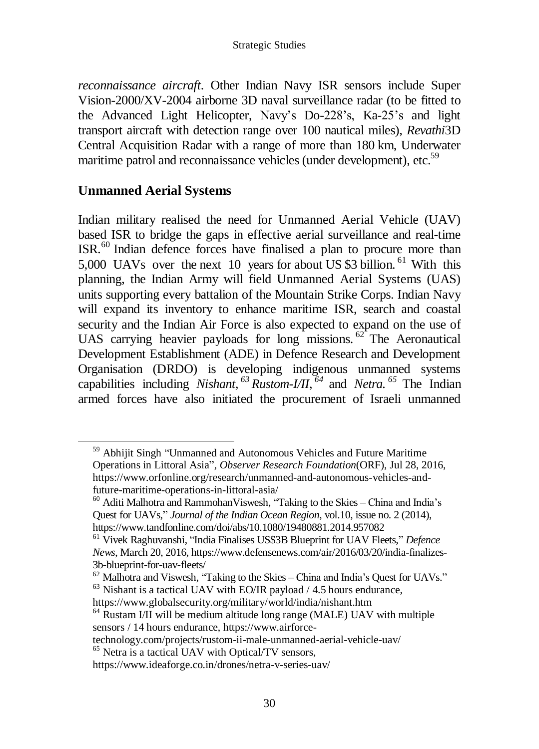*reconnaissance aircraft*. Other Indian Navy ISR sensors include Super Vision-2000/XV-2004 airborne 3D naval surveillance radar (to be fitted to the Advanced Light Helicopter, Navy"s Do-228"s, Ka-25"s and light transport aircraft with detection range over 100 nautical miles), *Revathi*3D Central Acquisition Radar with a range of more than 180 km, Underwater maritime patrol and reconnaissance vehicles (under development), etc.<sup>59</sup>

#### **Unmanned Aerial Systems**

 $\overline{a}$ 

Indian military realised the need for Unmanned Aerial Vehicle (UAV) based ISR to bridge the gaps in effective aerial surveillance and real-time ISR.<sup>60</sup> Indian defence forces have finalised a plan to procure more than 5,000 UAVs over the next 10 years for about US \$3 billion. <sup>61</sup> With this planning, the Indian Army will field Unmanned Aerial Systems (UAS) units supporting every battalion of the Mountain Strike Corps. Indian Navy will expand its inventory to enhance maritime ISR, search and coastal security and the Indian Air Force is also expected to expand on the use of UAS carrying heavier payloads for long missions.  $62^{\circ}$  The Aeronautical Development Establishment (ADE) in Defence Research and Development Organisation (DRDO) is developing indigenous unmanned systems capabilities including *[Nishant,](https://www.drdo.gov.in/nishant) <sup>63</sup> [Rustom-I/II](https://www.drdo.gov.in/rustom-1)*, *<sup>64</sup>* and *[Netra.](https://www.drdo.gov.in/netra-indigeneous-airborne-early-warning-control-system) <sup>65</sup>* The Indian armed forces have also initiated the procurement of Israeli unmanned

<sup>59</sup> Abhijit Singh "Unmanned and Autonomous Vehicles and Future Maritime Operations in Littoral Asia", *Observer Research Foundation*(ORF), Jul 28, 2016, https://www.orfonline.org/research/unmanned-and-autonomous-vehicles-andfuture-maritime-operations-in-littoral-asia/

 $60$  Aditi Malhotra and Rammohan Viswesh, "Taking to the Skies – China and India's Quest for UAVs," *Journal of the Indian Ocean Region*, vol.10, issue no. 2 (2014), https://www.tandfonline.com/doi/abs/10.1080/19480881.2014.957082

<sup>61</sup> Vivek Raghuvanshi, "India Finalises US\$3B Blueprint for UAV Fleets," *Defence News*, March 20, 2016, https://www.defensenews.com/air/2016/03/20/india-finalizes-3b-blueprint-for-uav-fleets/

 $62$  Malhotra and Viswesh, "Taking to the Skies – China and India's Quest for UAVs."  $63$  Nishant is a tactical UAV with EO/IR payload  $/$  4.5 hours endurance,

https://www.globalsecurity.org/military/world/india/nishant.htm

<sup>&</sup>lt;sup>64</sup> Rustam I/II will be medium altitude long range (MALE) UAV with multiple sensors / 14 hours endurance, https://www.airforce-

technology.com/projects/rustom-ii-male-unmanned-aerial-vehicle-uav/

<sup>65</sup> Netra is a tactical UAV with Optical/TV sensors,

https://www.ideaforge.co.in/drones/netra-v-series-uav/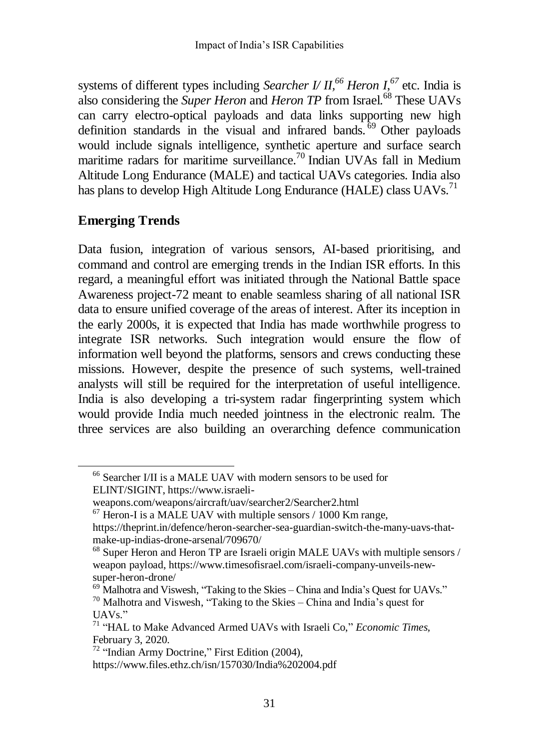systems of different types including *[Searcher](https://www.israeli-weapons.com/weapons/aircraft/uav/searcher2/Searcher2.html) I/ II, <sup>66</sup> Heron I*, *<sup>67</sup>* etc. India is also considering the *Super Heron* and *Heron TP* from [Israel.](https://theprint.in/defence/heron-searcher-sea-guardian-switch-the-many-uavs-that-make-up-indias-drone-arsenal/709670/) <sup>68</sup> These UAVs can carry electro-optical payloads and data links supporting new high definition standards in the visual and infrared bands.<sup>69</sup> Other payloads would include signals intelligence, synthetic aperture and surface search maritime radars for maritime surveillance.<sup>70</sup> Indian UVAs fall in Medium Altitude Long Endurance (MALE) and tactical UAVs categories. India also has plans to develop High Altitude Long Endurance (HALE) class UAVs.<sup>71</sup>

### **Emerging Trends**

 $\overline{a}$ 

Data fusion, integration of various sensors, AI-based prioritising, and command and control are emerging trends in the Indian ISR efforts. In this regard, a meaningful effort was initiated through the National Battle space Awareness project-72 meant to enable seamless sharing of all national ISR data to ensure unified coverage of the areas of interest. After its inception in the early 2000s, it is expected that India has made worthwhile progress to integrate ISR networks. Such integration would ensure the flow of information well beyond the platforms, sensors and crews conducting these missions. However, despite the presence of such systems, well-trained analysts will still be required for the interpretation of useful intelligence. India is also developing a tri-system radar fingerprinting system which would provide India much needed jointness in the electronic realm. The three services are also building an overarching defence communication

 $67$  Heron-I is a MALE UAV with multiple sensors  $/ 1000$  Km range,

<sup>66</sup> Searcher I/II is a MALE UAV with modern sensors to be used for ELINT/SIGINT, https://www.israeli-

weapons.com/weapons/aircraft/uav/searcher2/Searcher2.html

https://theprint.in/defence/heron-searcher-sea-guardian-switch-the-many-uavs-thatmake-up-indias-drone-arsenal/709670/

<sup>68</sup> Super Heron and Heron TP are Israeli origin MALE UAVs with multiple sensors / weapon payload, https://www.timesofisrael.com/israeli-company-unveils-newsuper-heron-drone/

 $^{69}$  Malhotra and Viswesh, "Taking to the Skies – China and India's Quest for UAVs."  $70$  Malhotra and Viswesh, "Taking to the Skies – China and India's quest for UAVs."

<sup>71</sup> "HAL to Make Advanced Armed UAVs with Israeli Co," *Economic Times,*  February 3, 2020.

<sup>72</sup> "Indian Army Doctrine," First Edition (2004),

https://www.files.ethz.ch/isn/157030/India%202004.pdf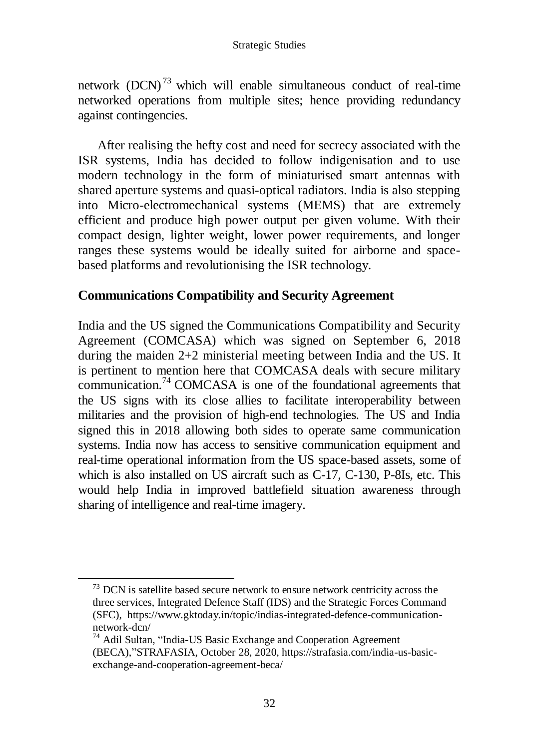network  $(DCN)^{73}$  $(DCN)^{73}$  which will enable simultaneous conduct of real-time networked operations from multiple sites; hence providing redundancy against contingencies.

After realising the hefty cost and need for secrecy associated with the ISR systems, India has decided to follow indigenisation and to use modern technology in the form of miniaturised smart antennas with shared aperture systems and quasi-optical radiators. India is also stepping into Micro-electromechanical systems (MEMS) that are extremely efficient and produce high power output per given volume. With their compact design, lighter weight, lower power requirements, and longer ranges these systems would be ideally suited for airborne and spacebased platforms and revolutionising the ISR technology.

## **Communications Compatibility and Security Agreement**

India and the US signed the Communications Compatibility and Security Agreement (COMCASA) which was signed on September 6, 2018 during the maiden 2+2 ministerial meeting between India and the US. It is pertinent to mention here that COMCASA deals with secure military communication.<sup>74</sup> COMCASA is one of the foundational agreements that the US signs with its close allies to facilitate interoperability between militaries and the provision of high-end technologies. The US and India signed this in 2018 allowing both sides to operate same communication systems. India now has access to sensitive communication equipment and real-time operational information from the US space-based assets, some of which is also installed on US aircraft such as C-17, C-130, P-8Is, etc. This would help India in improved battlefield situation awareness through sharing of intelligence and real-time imagery.

 $73$  DCN is satellite based secure network to ensure network centricity across the three services, Integrated Defence Staff (IDS) and the Strategic Forces Command (SFC), https://www.gktoday.in/topic/indias-integrated-defence-communicationnetwork-dcn/

<sup>74</sup> Adil Sultan, "India-US Basic Exchange and Cooperation Agreement (BECA),"STRAFASIA, October 28, 2020, https://strafasia.com/india-us-basicexchange-and-cooperation-agreement-beca/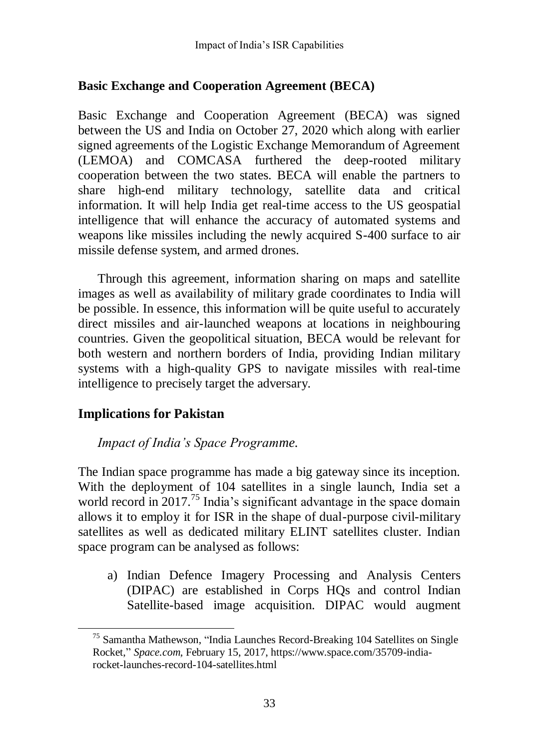## **Basic Exchange and Cooperation Agreement (BECA)**

Basic Exchange and Cooperation Agreement (BECA) was signed between the US and India on October 27, 2020 which along with earlier signed agreements of the Logistic Exchange Memorandum of Agreement (LEMOA) and COMCASA furthered the deep-rooted military cooperation between the two states. BECA will enable the partners to share high-end military technology, satellite data and critical information. It will help India get real-time access to the US geospatial intelligence that will enhance the accuracy of automated systems and weapons like missiles including the newly acquired S-400 surface to air missile defense system, and armed drones.

Through this agreement, information sharing on maps and satellite images as well as availability of military grade coordinates to India will be possible. In essence, this information will be quite useful to accurately direct missiles and air-launched weapons at locations in neighbouring countries. Given the geopolitical situation, BECA would be relevant for both western and northern borders of India, providing Indian military systems with a high-quality GPS to navigate missiles with real-time intelligence to precisely target the adversary.

## **Implications for Pakistan**

### *Impact of India's Space Programme.*

The Indian space programme has made a big gateway since its inception. With the deployment of 104 satellites in a single launch, India set a world record in 2017.<sup>75</sup> India's significant advantage in the space domain allows it to employ it for ISR in the shape of dual-purpose civil-military satellites as well as dedicated military ELINT satellites cluster. Indian space program can be analysed as follows:

a) Indian Defence Imagery Processing and Analysis Centers (DIPAC) are established in Corps HQs and control Indian Satellite-based image acquisition. DIPAC would augment

<sup>75</sup> Samantha Mathewson, "India Launches Record-Breaking 104 Satellites on Single Rocket," *Space.com,* February 15, 2017, https://www.space.com/35709-indiarocket-launches-record-104-satellites.html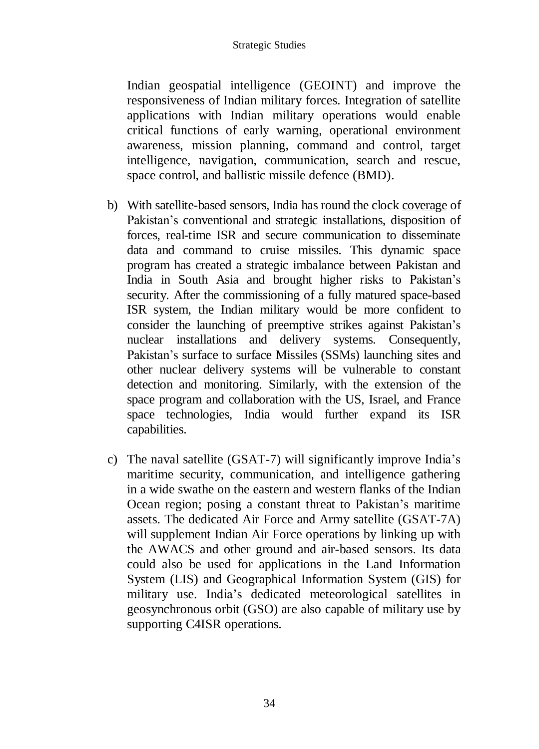Indian geospatial intelligence (GEOINT) and improve the responsiveness of Indian military forces. Integration of satellite applications with Indian military operations would enable critical functions of early warning, operational environment awareness, mission planning, command and control, target intelligence, navigation, communication, search and rescue, space control, and ballistic missile defence (BMD).

- b) With satellite-based sensors, India has round the clock [coverage](https://www.theindianwire.com/news/indian-satellites-capable-mapping-almost-entire-pakistan-106190/) of Pakistan's conventional and strategic installations, disposition of forces, real-time ISR and secure communication to disseminate data and command to cruise missiles. This dynamic space program has created a strategic imbalance between Pakistan and India in South Asia and brought higher risks to Pakistan"s security. After the commissioning of a fully matured space-based ISR system, the Indian military would be more confident to consider the launching of preemptive strikes against Pakistan"s nuclear installations and delivery systems. Consequently, Pakistan's surface to surface Missiles (SSMs) launching sites and other nuclear delivery systems will be vulnerable to constant detection and monitoring. Similarly, with the extension of the space program and collaboration with the US, Israel, and France space technologies, India would further expand its ISR capabilities.
- c) The naval satellite (GSAT-7) will significantly improve India"s maritime security, communication, and intelligence gathering in a wide swathe on the eastern and western flanks of the Indian Ocean region; posing a constant threat to Pakistan's maritime assets. The dedicated Air Force and Army satellite (GSAT-7A) will supplement Indian Air Force operations by linking up with the AWACS and other ground and air-based sensors. Its data could also be used for applications in the Land Information System (LIS) and Geographical Information System (GIS) for military use. India"s dedicated meteorological satellites in geosynchronous orbit (GSO) are also capable of military use by supporting C4ISR operations.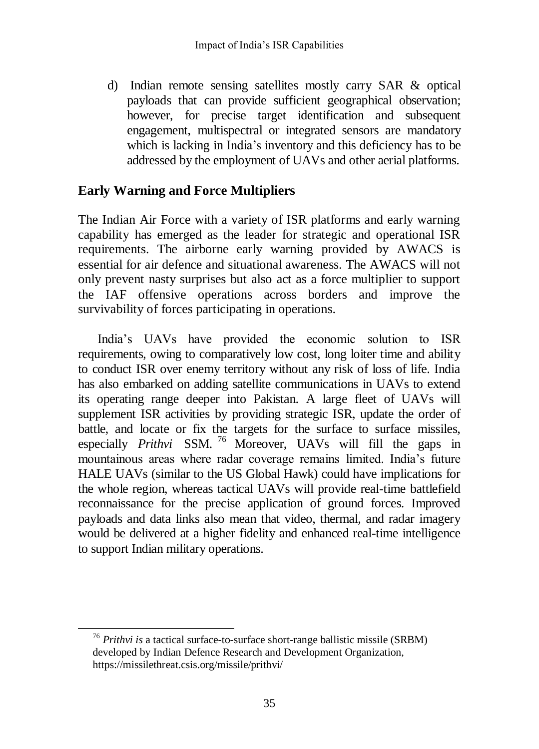d) Indian remote sensing satellites mostly carry SAR & optical payloads that can provide sufficient geographical observation; however, for precise target identification and subsequent engagement, multispectral or integrated sensors are mandatory which is lacking in India's inventory and this deficiency has to be addressed by the employment of UAVs and other aerial platforms.

## **Early Warning and Force Multipliers**

The Indian Air Force with a variety of ISR platforms and early warning capability has emerged as the leader for strategic and operational ISR requirements. The airborne early warning provided by AWACS is essential for air defence and situational awareness. The AWACS will not only prevent nasty surprises but also act as a force multiplier to support the IAF offensive operations across borders and improve the survivability of forces participating in operations.

India"s UAVs have provided the economic solution to ISR requirements, owing to comparatively low cost, long loiter time and ability to conduct ISR over enemy territory without any risk of loss of life. India has also embarked on adding satellite communications in UAVs to extend its operating range deeper into Pakistan. A large fleet of UAVs will supplement ISR activities by providing strategic ISR, update the order of battle, and locate or fix the targets for the surface to surface missiles, especially *[Prithvi](https://www.drdo.gov.in/search/node?keys=prithvi)* SSM. <sup>76</sup> Moreover, UAVs will fill the gaps in mountainous areas where radar coverage remains limited. India"s future HALE UAVs (similar to the US Global Hawk) could have implications for the whole region, whereas tactical UAVs will provide real-time battlefield reconnaissance for the precise application of ground forces. Improved payloads and data links also mean that video, thermal, and radar imagery would be delivered at a higher fidelity and enhanced real-time intelligence to support Indian military operations.

<sup>76</sup> *Prithvi is* a tactical surface-to-surface short-range ballistic missile (SRBM) developed by Indian Defence Research and Development Organization, https://missilethreat.csis.org/missile/prithvi/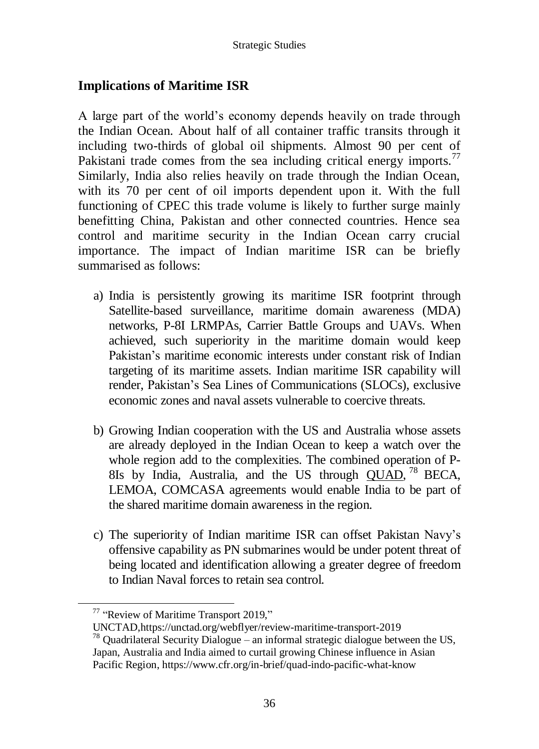## **Implications of Maritime ISR**

A large part of the world"s economy depends heavily on trade through the Indian Ocean. About half of all container traffic transits through it including two-thirds of global oil shipments. Almost 90 per cent of Pakistani trade comes from the sea including critical energy imports.<sup>77</sup> Similarly, India also relies heavily on trade through the Indian Ocean, with its 70 per cent of oil imports dependent upon it. With the full functioning of CPEC this trade volume is likely to further surge mainly benefitting China, Pakistan and other connected countries. Hence sea control and maritime security in the Indian Ocean carry crucial importance. The impact of Indian maritime ISR can be briefly summarised as follows:

- a) India is persistently growing its maritime ISR footprint through Satellite-based surveillance, maritime domain awareness (MDA) networks, P-8I LRMPAs, Carrier Battle Groups and UAVs. When achieved, such superiority in the maritime domain would keep Pakistan's maritime economic interests under constant risk of Indian targeting of its maritime assets. Indian maritime ISR capability will render, Pakistan"s Sea Lines of Communications (SLOCs), exclusive economic zones and naval assets vulnerable to coercive threats.
- b) Growing Indian cooperation with the US and Australia whose assets are already deployed in the Indian Ocean to keep a watch over the whole region add to the complexities. The combined operation of P-8Is by India, Australia, and the US through *QUAD*,<sup>78</sup> BECA, LEMOA, COMCASA agreements would enable India to be part of the shared maritime domain awareness in the region.
- c) The superiority of Indian maritime ISR can offset Pakistan Navy"s offensive capability as PN submarines would be under potent threat of being located and identification allowing a greater degree of freedom to Indian Naval forces to retain sea control.

 $\overline{a}$ 

<sup>77</sup> "Review of Maritime Transport 2019,"

UNCTAD,https://unctad.org/webflyer/review-maritime-transport-2019

 $78$  Quadrilateral Security Dialogue – an informal strategic dialogue between the US, Japan, Australia and India aimed to curtail growing Chinese influence in Asian Pacific Region, https://www.cfr.org/in-brief/quad-indo-pacific-what-know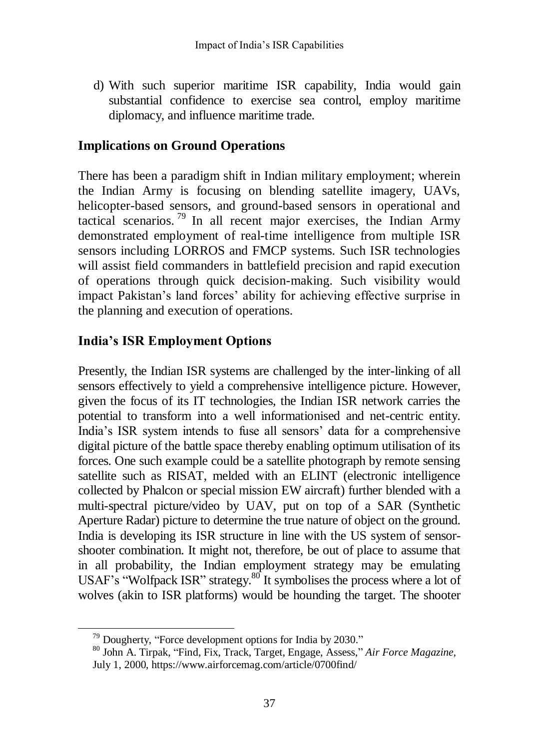d) With such superior maritime ISR capability, India would gain substantial confidence to exercise sea control, employ maritime diplomacy, and influence maritime trade.

## **Implications on Ground Operations**

There has been a paradigm shift in Indian military employment; wherein the Indian Army is focusing on blending satellite imagery, UAVs, helicopter-based sensors, and ground-based sensors in operational and tactical scenarios. <sup>79</sup> In all recent major exercises, the Indian Army demonstrated employment of real-time intelligence from multiple ISR sensors including LORROS and FMCP systems. Such ISR technologies will assist field commanders in battlefield precision and rapid execution of operations through quick decision-making. Such visibility would impact Pakistan's land forces' ability for achieving effective surprise in the planning and execution of operations.

## **India's ISR Employment Options**

Presently, the Indian ISR systems are challenged by the inter-linking of all sensors effectively to yield a comprehensive intelligence picture. However, given the focus of its IT technologies, the Indian ISR network carries the potential to transform into a well informationised and net-centric entity. India"s ISR system intends to fuse all sensors" data for a comprehensive digital picture of the battle space thereby enabling optimum utilisation of its forces. One such example could be a satellite photograph by remote sensing satellite such as RISAT, melded with an ELINT (electronic intelligence collected by Phalcon or special mission EW aircraft) further blended with a multi-spectral picture/video by UAV, put on top of a SAR (Synthetic Aperture Radar) picture to determine the true nature of object on the ground. India is developing its ISR structure in line with the US system of sensorshooter combination. It might not, therefore, be out of place to assume that in all probability, the Indian employment strategy may be emulating USAF's "Wolfpack ISR" strategy.<sup>80</sup> It symbolises the process where a lot of wolves (akin to ISR platforms) would be hounding the target. The shooter

<sup>&</sup>lt;sup>79</sup> Dougherty, "Force development options for India by 2030."

<sup>80</sup> John A. Tirpak, "Find, Fix, Track, Target, Engage, Assess," *Air Force Magazine,* July 1, 2000, https://www.airforcemag.com/article/0700find/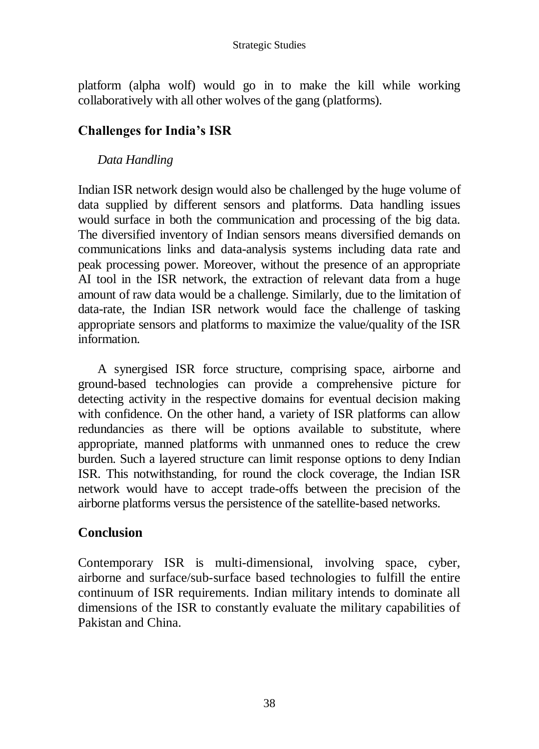platform (alpha wolf) would go in to make the kill while working collaboratively with all other wolves of the gang (platforms).

## **Challenges for India's ISR**

### *Data Handling*

Indian ISR network design would also be challenged by the huge volume of data supplied by different sensors and platforms. Data handling issues would surface in both the communication and processing of the big data. The diversified inventory of Indian sensors means diversified demands on communications links and data-analysis systems including data rate and peak processing power. Moreover, without the presence of an appropriate AI tool in the ISR network, the extraction of relevant data from a huge amount of raw data would be a challenge. Similarly, due to the limitation of data-rate, the Indian ISR network would face the challenge of tasking appropriate sensors and platforms to maximize the value/quality of the ISR information.

A synergised ISR force structure, comprising space, airborne and ground-based technologies can provide a comprehensive picture for detecting activity in the respective domains for eventual decision making with confidence. On the other hand, a variety of ISR platforms can allow redundancies as there will be options available to substitute, where appropriate, manned platforms with unmanned ones to reduce the crew burden. Such a layered structure can limit response options to deny Indian ISR. This notwithstanding, for round the clock coverage, the Indian ISR network would have to accept trade-offs between the precision of the airborne platforms versus the persistence of the satellite-based networks.

## **Conclusion**

Contemporary ISR is multi-dimensional, involving space, cyber, airborne and surface/sub-surface based technologies to fulfill the entire continuum of ISR requirements. Indian military intends to dominate all dimensions of the ISR to constantly evaluate the military capabilities of Pakistan and China.